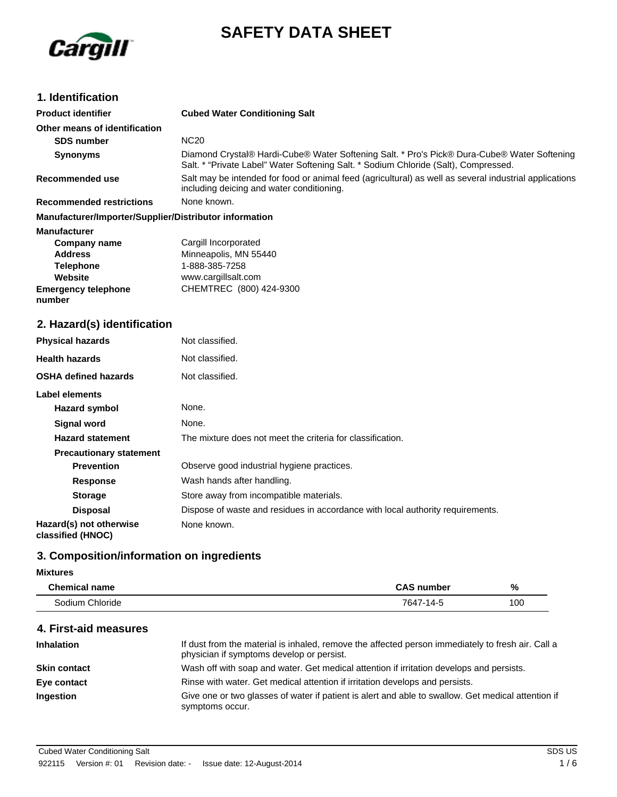



# **1. Identification**

| <b>Product identifier</b>                              | <b>Cubed Water Conditioning Salt</b>                                                                                                                                               |
|--------------------------------------------------------|------------------------------------------------------------------------------------------------------------------------------------------------------------------------------------|
| Other means of identification                          |                                                                                                                                                                                    |
| <b>SDS number</b>                                      | <b>NC20</b>                                                                                                                                                                        |
| <b>Synonyms</b>                                        | Diamond Crystal® Hardi-Cube® Water Softening Salt. * Pro's Pick® Dura-Cube® Water Softening<br>Salt. * "Private Label" Water Softening Salt. * Sodium Chloride (Salt), Compressed. |
| Recommended use                                        | Salt may be intended for food or animal feed (agricultural) as well as several industrial applications<br>including deicing and water conditioning.                                |
| <b>Recommended restrictions</b>                        | None known.                                                                                                                                                                        |
| Manufacturer/Importer/Supplier/Distributor information |                                                                                                                                                                                    |
| <b>Manufacturer</b>                                    |                                                                                                                                                                                    |
| Company name                                           | Cargill Incorporated                                                                                                                                                               |
| <b>Address</b>                                         | Minneapolis, MN 55440                                                                                                                                                              |
| <b>Telephone</b>                                       | 1-888-385-7258                                                                                                                                                                     |
| Website                                                | www.cargillsalt.com                                                                                                                                                                |
| <b>Emergency telephone</b><br>number                   | CHEMTREC (800) 424-9300                                                                                                                                                            |

# **2. Hazard(s) identification**

| <b>Physical hazards</b>                      | Not classified.                                                                |
|----------------------------------------------|--------------------------------------------------------------------------------|
| <b>Health hazards</b>                        | Not classified.                                                                |
| <b>OSHA defined hazards</b>                  | Not classified.                                                                |
| Label elements                               |                                                                                |
| Hazard symbol                                | None.                                                                          |
| <b>Signal word</b>                           | None.                                                                          |
| <b>Hazard statement</b>                      | The mixture does not meet the criteria for classification.                     |
| <b>Precautionary statement</b>               |                                                                                |
| <b>Prevention</b>                            | Observe good industrial hygiene practices.                                     |
| <b>Response</b>                              | Wash hands after handling.                                                     |
| <b>Storage</b>                               | Store away from incompatible materials.                                        |
| <b>Disposal</b>                              | Dispose of waste and residues in accordance with local authority requirements. |
| Hazard(s) not otherwise<br>classified (HNOC) | None known.                                                                    |

# **3. Composition/information on ingredients**

### **Mixtures**

| <b>Chemical name</b> | <b>CAS number</b> | %   |
|----------------------|-------------------|-----|
| Sodium Chloride      | 7647-14-5         | 100 |

| 4. First-aid measures |            |
|-----------------------|------------|
| <b>Inhalation</b>     | If dust fr |

| <b>Inhalation</b>   | If dust from the material is inhaled, remove the affected person immediately to fresh air. Call a<br>physician if symptoms develop or persist. |
|---------------------|------------------------------------------------------------------------------------------------------------------------------------------------|
| <b>Skin contact</b> | Wash off with soap and water. Get medical attention if irritation develops and persists.                                                       |
| Eye contact         | Rinse with water. Get medical attention if irritation develops and persists.                                                                   |
| <b>Ingestion</b>    | Give one or two glasses of water if patient is alert and able to swallow. Get medical attention if<br>symptoms occur.                          |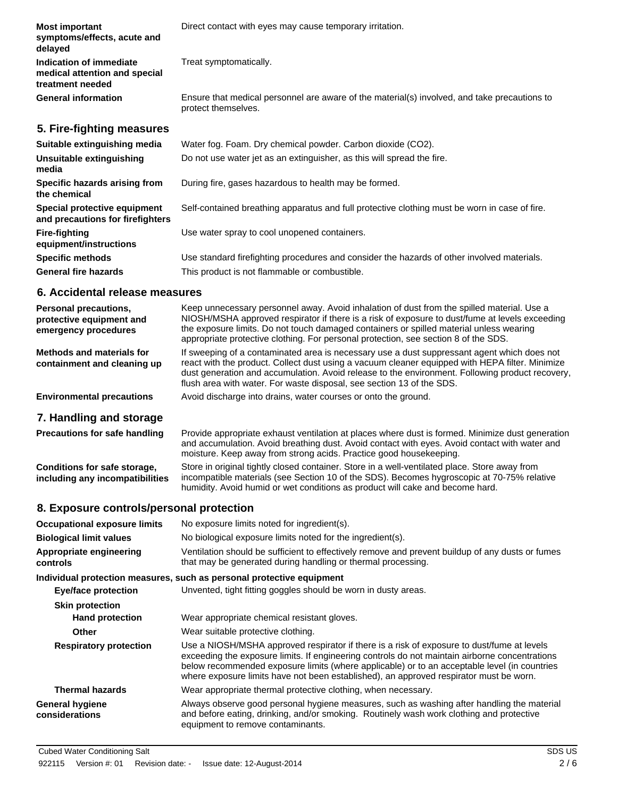| <b>Most important</b><br>symptoms/effects, acute and<br>delayed              | Direct contact with eyes may cause temporary irritation.                                                            |
|------------------------------------------------------------------------------|---------------------------------------------------------------------------------------------------------------------|
| Indication of immediate<br>medical attention and special<br>treatment needed | Treat symptomatically.                                                                                              |
| <b>General information</b>                                                   | Ensure that medical personnel are aware of the material(s) involved, and take precautions to<br>protect themselves. |
| 5. Fire-fighting measures                                                    |                                                                                                                     |
| Suitable extinguishing media                                                 | Water fog. Foam. Dry chemical powder. Carbon dioxide (CO2).                                                         |
| Unsuitable extinguishing<br>media                                            | Do not use water jet as an extinguisher, as this will spread the fire.                                              |
| Specific hazards arising from<br>the chemical                                | During fire, gases hazardous to health may be formed.                                                               |
| Special protective equipment<br>and precautions for firefighters             | Self-contained breathing apparatus and full protective clothing must be worn in case of fire.                       |
| <b>Fire-fighting</b><br>equipment/instructions                               | Use water spray to cool unopened containers.                                                                        |
| <b>Specific methods</b>                                                      | Use standard firefighting procedures and consider the hazards of other involved materials.                          |
| <b>General fire hazards</b>                                                  | This product is not flammable or combustible.                                                                       |

## **6. Accidental release measures**

| <b>Personal precautions,</b><br>protective equipment and<br>emergency procedures | Keep unnecessary personnel away. Avoid inhalation of dust from the spilled material. Use a<br>NIOSH/MSHA approved respirator if there is a risk of exposure to dust/fume at levels exceeding<br>the exposure limits. Do not touch damaged containers or spilled material unless wearing<br>appropriate protective clothing. For personal protection, see section 8 of the SDS. |
|----------------------------------------------------------------------------------|--------------------------------------------------------------------------------------------------------------------------------------------------------------------------------------------------------------------------------------------------------------------------------------------------------------------------------------------------------------------------------|
| Methods and materials for<br>containment and cleaning up                         | If sweeping of a contaminated area is necessary use a dust suppressant agent which does not<br>react with the product. Collect dust using a vacuum cleaner equipped with HEPA filter. Minimize<br>dust generation and accumulation. Avoid release to the environment. Following product recovery,<br>flush area with water. For waste disposal, see section 13 of the SDS.     |
| <b>Environmental precautions</b>                                                 | Avoid discharge into drains, water courses or onto the ground.                                                                                                                                                                                                                                                                                                                 |

# **7. Handling and storage**

| <b>Precautions for safe handling</b> | Provide appropriate exhaust ventilation at places where dust is formed. Minimize dust generation<br>and accumulation. Avoid breathing dust. Avoid contact with eyes. Avoid contact with water and<br>moisture. Keep away from strong acids. Practice good housekeeping. |
|--------------------------------------|-------------------------------------------------------------------------------------------------------------------------------------------------------------------------------------------------------------------------------------------------------------------------|
| Conditions for safe storage,         | Store in original tightly closed container. Store in a well-ventilated place. Store away from                                                                                                                                                                           |
| including any incompatibilities      | incompatible materials (see Section 10 of the SDS). Becomes hygroscopic at 70-75% relative                                                                                                                                                                              |

humidity. Avoid humid or wet conditions as product will cake and become hard.

# **8. Exposure controls/personal protection**

| <b>Occupational exposure limits</b>      | No exposure limits noted for ingredient(s).                                                                                                                                                                                                                                                                                                                                            |  |
|------------------------------------------|----------------------------------------------------------------------------------------------------------------------------------------------------------------------------------------------------------------------------------------------------------------------------------------------------------------------------------------------------------------------------------------|--|
| <b>Biological limit values</b>           | No biological exposure limits noted for the ingredient(s).                                                                                                                                                                                                                                                                                                                             |  |
| Appropriate engineering<br>controls      | Ventilation should be sufficient to effectively remove and prevent buildup of any dusts or fumes<br>that may be generated during handling or thermal processing.                                                                                                                                                                                                                       |  |
|                                          | Individual protection measures, such as personal protective equipment                                                                                                                                                                                                                                                                                                                  |  |
| <b>Eye/face protection</b>               | Unvented, tight fitting goggles should be worn in dusty areas.                                                                                                                                                                                                                                                                                                                         |  |
| <b>Skin protection</b>                   |                                                                                                                                                                                                                                                                                                                                                                                        |  |
| <b>Hand protection</b>                   | Wear appropriate chemical resistant gloves.                                                                                                                                                                                                                                                                                                                                            |  |
| Other                                    | Wear suitable protective clothing.                                                                                                                                                                                                                                                                                                                                                     |  |
| <b>Respiratory protection</b>            | Use a NIOSH/MSHA approved respirator if there is a risk of exposure to dust/fume at levels<br>exceeding the exposure limits. If engineering controls do not maintain airborne concentrations<br>below recommended exposure limits (where applicable) or to an acceptable level (in countries<br>where exposure limits have not been established), an approved respirator must be worn. |  |
| <b>Thermal hazards</b>                   | Wear appropriate thermal protective clothing, when necessary.                                                                                                                                                                                                                                                                                                                          |  |
| <b>General hygiene</b><br>considerations | Always observe good personal hygiene measures, such as washing after handling the material<br>and before eating, drinking, and/or smoking. Routinely wash work clothing and protective<br>equipment to remove contaminants.                                                                                                                                                            |  |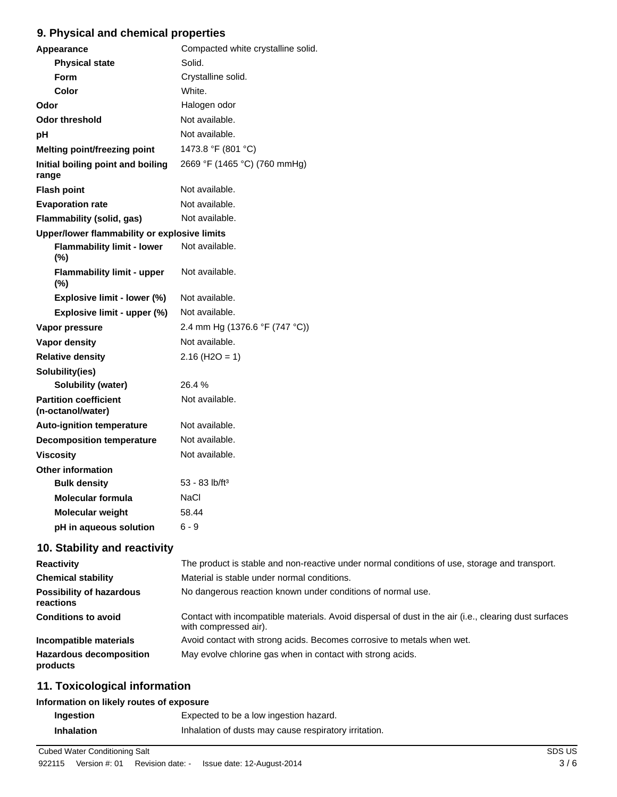# **9. Physical and chemical properties**

| Appearance                                        | Compacted white crystalline solid. |  |
|---------------------------------------------------|------------------------------------|--|
| <b>Physical state</b>                             | Solid.                             |  |
| Form                                              | Crystalline solid.                 |  |
| Color                                             | White.                             |  |
| Odor                                              | Halogen odor                       |  |
| <b>Odor threshold</b>                             | Not available.                     |  |
| pH                                                | Not available.                     |  |
| <b>Melting point/freezing point</b>               | 1473.8 °F (801 °C)                 |  |
| Initial boiling point and boiling<br>range        | 2669 °F (1465 °C) (760 mmHg)       |  |
| <b>Flash point</b>                                | Not available.                     |  |
| <b>Evaporation rate</b>                           | Not available.                     |  |
| Flammability (solid, gas)                         | Not available.                     |  |
| Upper/lower flammability or explosive limits      |                                    |  |
| <b>Flammability limit - lower</b><br>(%)          | Not available.                     |  |
| <b>Flammability limit - upper</b><br>(%)          | Not available.                     |  |
| Explosive limit - lower (%)                       | Not available.                     |  |
| Explosive limit - upper (%)                       | Not available.                     |  |
| Vapor pressure                                    | 2.4 mm Hg (1376.6 °F (747 °C))     |  |
| Vapor density                                     | Not available.                     |  |
| <b>Relative density</b>                           | $2.16$ (H <sub>2</sub> O = 1)      |  |
| Solubility(ies)                                   |                                    |  |
| <b>Solubility (water)</b>                         | 26.4%                              |  |
| <b>Partition coefficient</b><br>(n-octanol/water) | Not available.                     |  |
| <b>Auto-ignition temperature</b>                  | Not available.                     |  |
| <b>Decomposition temperature</b>                  | Not available.                     |  |
| <b>Viscosity</b>                                  | Not available.                     |  |
| <b>Other information</b>                          |                                    |  |
| <b>Bulk density</b>                               | $53 - 83$ lb/ft <sup>3</sup>       |  |
| <b>Molecular formula</b>                          | NaCl                               |  |
| Molecular weight                                  | 58.44                              |  |
| pH in aqueous solution                            | $6 - 9$                            |  |

# **10. Stability and reactivity**

| <b>Reactivity</b>                            | The product is stable and non-reactive under normal conditions of use, storage and transport.                                  |
|----------------------------------------------|--------------------------------------------------------------------------------------------------------------------------------|
| <b>Chemical stability</b>                    | Material is stable under normal conditions.                                                                                    |
| <b>Possibility of hazardous</b><br>reactions | No dangerous reaction known under conditions of normal use.                                                                    |
| <b>Conditions to avoid</b>                   | Contact with incompatible materials. Avoid dispersal of dust in the air (i.e., clearing dust surfaces<br>with compressed air). |
| Incompatible materials                       | Avoid contact with strong acids. Becomes corrosive to metals when wet.                                                         |
| <b>Hazardous decomposition</b><br>products   | May evolve chlorine gas when in contact with strong acids.                                                                     |

## **11. Toxicological information**

## **Information on likely routes of exposure**

| Ingestion         | Expected to be a low ingestion hazard.                |
|-------------------|-------------------------------------------------------|
| <b>Inhalation</b> | Inhalation of dusts may cause respiratory irritation. |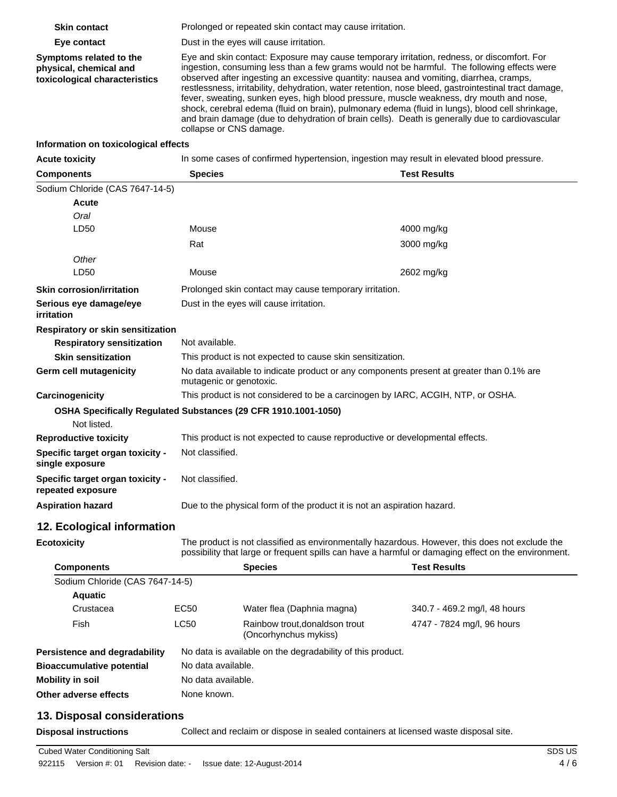| <b>Skin contact</b>                                                                |                                                                                                                                                                                                                                                                                                                                                                                                                                                                                                                                                                                                                                                                                                                        | Prolonged or repeated skin contact may cause irritation.                                                                                                                                              |                              |  |  |
|------------------------------------------------------------------------------------|------------------------------------------------------------------------------------------------------------------------------------------------------------------------------------------------------------------------------------------------------------------------------------------------------------------------------------------------------------------------------------------------------------------------------------------------------------------------------------------------------------------------------------------------------------------------------------------------------------------------------------------------------------------------------------------------------------------------|-------------------------------------------------------------------------------------------------------------------------------------------------------------------------------------------------------|------------------------------|--|--|
| Eye contact                                                                        |                                                                                                                                                                                                                                                                                                                                                                                                                                                                                                                                                                                                                                                                                                                        | Dust in the eyes will cause irritation.                                                                                                                                                               |                              |  |  |
| Symptoms related to the<br>physical, chemical and<br>toxicological characteristics | Eye and skin contact: Exposure may cause temporary irritation, redness, or discomfort. For<br>ingestion, consuming less than a few grams would not be harmful. The following effects were<br>observed after ingesting an excessive quantity: nausea and vomiting, diarrhea, cramps,<br>restlessness, irritability, dehydration, water retention, nose bleed, gastrointestinal tract damage,<br>fever, sweating, sunken eyes, high blood pressure, muscle weakness, dry mouth and nose,<br>shock, cerebral edema (fluid on brain), pulmonary edema (fluid in lungs), blood cell shrinkage,<br>and brain damage (due to dehydration of brain cells). Death is generally due to cardiovascular<br>collapse or CNS damage. |                                                                                                                                                                                                       |                              |  |  |
| Information on toxicological effects                                               |                                                                                                                                                                                                                                                                                                                                                                                                                                                                                                                                                                                                                                                                                                                        |                                                                                                                                                                                                       |                              |  |  |
| <b>Acute toxicity</b>                                                              |                                                                                                                                                                                                                                                                                                                                                                                                                                                                                                                                                                                                                                                                                                                        | In some cases of confirmed hypertension, ingestion may result in elevated blood pressure.                                                                                                             |                              |  |  |
| <b>Components</b>                                                                  | <b>Test Results</b><br><b>Species</b>                                                                                                                                                                                                                                                                                                                                                                                                                                                                                                                                                                                                                                                                                  |                                                                                                                                                                                                       |                              |  |  |
| Sodium Chloride (CAS 7647-14-5)<br>Acute<br>Oral<br>LD50                           | Mouse                                                                                                                                                                                                                                                                                                                                                                                                                                                                                                                                                                                                                                                                                                                  |                                                                                                                                                                                                       | 4000 mg/kg                   |  |  |
|                                                                                    | Rat                                                                                                                                                                                                                                                                                                                                                                                                                                                                                                                                                                                                                                                                                                                    |                                                                                                                                                                                                       | 3000 mg/kg                   |  |  |
| Other<br>LD50                                                                      | Mouse                                                                                                                                                                                                                                                                                                                                                                                                                                                                                                                                                                                                                                                                                                                  | 2602 mg/kg                                                                                                                                                                                            |                              |  |  |
| <b>Skin corrosion/irritation</b>                                                   |                                                                                                                                                                                                                                                                                                                                                                                                                                                                                                                                                                                                                                                                                                                        | Prolonged skin contact may cause temporary irritation.                                                                                                                                                |                              |  |  |
| Serious eye damage/eye<br>irritation                                               |                                                                                                                                                                                                                                                                                                                                                                                                                                                                                                                                                                                                                                                                                                                        | Dust in the eyes will cause irritation.                                                                                                                                                               |                              |  |  |
| Respiratory or skin sensitization                                                  |                                                                                                                                                                                                                                                                                                                                                                                                                                                                                                                                                                                                                                                                                                                        |                                                                                                                                                                                                       |                              |  |  |
| <b>Respiratory sensitization</b>                                                   |                                                                                                                                                                                                                                                                                                                                                                                                                                                                                                                                                                                                                                                                                                                        | Not available.                                                                                                                                                                                        |                              |  |  |
| <b>Skin sensitization</b>                                                          |                                                                                                                                                                                                                                                                                                                                                                                                                                                                                                                                                                                                                                                                                                                        | This product is not expected to cause skin sensitization.                                                                                                                                             |                              |  |  |
| Germ cell mutagenicity                                                             |                                                                                                                                                                                                                                                                                                                                                                                                                                                                                                                                                                                                                                                                                                                        | No data available to indicate product or any components present at greater than 0.1% are<br>mutagenic or genotoxic.                                                                                   |                              |  |  |
| Carcinogenicity                                                                    |                                                                                                                                                                                                                                                                                                                                                                                                                                                                                                                                                                                                                                                                                                                        | This product is not considered to be a carcinogen by IARC, ACGIH, NTP, or OSHA.                                                                                                                       |                              |  |  |
| OSHA Specifically Regulated Substances (29 CFR 1910.1001-1050)                     |                                                                                                                                                                                                                                                                                                                                                                                                                                                                                                                                                                                                                                                                                                                        |                                                                                                                                                                                                       |                              |  |  |
| Not listed.                                                                        |                                                                                                                                                                                                                                                                                                                                                                                                                                                                                                                                                                                                                                                                                                                        |                                                                                                                                                                                                       |                              |  |  |
| <b>Reproductive toxicity</b>                                                       |                                                                                                                                                                                                                                                                                                                                                                                                                                                                                                                                                                                                                                                                                                                        | This product is not expected to cause reproductive or developmental effects.                                                                                                                          |                              |  |  |
| Specific target organ toxicity -<br>single exposure                                |                                                                                                                                                                                                                                                                                                                                                                                                                                                                                                                                                                                                                                                                                                                        | Not classified.                                                                                                                                                                                       |                              |  |  |
| Specific target organ toxicity -<br>repeated exposure                              |                                                                                                                                                                                                                                                                                                                                                                                                                                                                                                                                                                                                                                                                                                                        | Not classified.                                                                                                                                                                                       |                              |  |  |
| <b>Aspiration hazard</b>                                                           |                                                                                                                                                                                                                                                                                                                                                                                                                                                                                                                                                                                                                                                                                                                        | Due to the physical form of the product it is not an aspiration hazard.                                                                                                                               |                              |  |  |
| 12. Ecological information                                                         |                                                                                                                                                                                                                                                                                                                                                                                                                                                                                                                                                                                                                                                                                                                        |                                                                                                                                                                                                       |                              |  |  |
| <b>Ecotoxicity</b>                                                                 |                                                                                                                                                                                                                                                                                                                                                                                                                                                                                                                                                                                                                                                                                                                        | The product is not classified as environmentally hazardous. However, this does not exclude the<br>possibility that large or frequent spills can have a harmful or damaging effect on the environment. |                              |  |  |
| <b>Components</b>                                                                  |                                                                                                                                                                                                                                                                                                                                                                                                                                                                                                                                                                                                                                                                                                                        | <b>Species</b>                                                                                                                                                                                        | <b>Test Results</b>          |  |  |
| Sodium Chloride (CAS 7647-14-5)                                                    |                                                                                                                                                                                                                                                                                                                                                                                                                                                                                                                                                                                                                                                                                                                        |                                                                                                                                                                                                       |                              |  |  |
| <b>Aquatic</b>                                                                     |                                                                                                                                                                                                                                                                                                                                                                                                                                                                                                                                                                                                                                                                                                                        |                                                                                                                                                                                                       |                              |  |  |
| Crustacea                                                                          | EC50                                                                                                                                                                                                                                                                                                                                                                                                                                                                                                                                                                                                                                                                                                                   | Water flea (Daphnia magna)                                                                                                                                                                            | 340.7 - 469.2 mg/l, 48 hours |  |  |
| Fish                                                                               | <b>LC50</b>                                                                                                                                                                                                                                                                                                                                                                                                                                                                                                                                                                                                                                                                                                            | Rainbow trout, donaldson trout<br>(Oncorhynchus mykiss)                                                                                                                                               | 4747 - 7824 mg/l, 96 hours   |  |  |
| Persistence and degradability                                                      |                                                                                                                                                                                                                                                                                                                                                                                                                                                                                                                                                                                                                                                                                                                        | No data is available on the degradability of this product.                                                                                                                                            |                              |  |  |
| <b>Bioaccumulative potential</b>                                                   |                                                                                                                                                                                                                                                                                                                                                                                                                                                                                                                                                                                                                                                                                                                        | No data available.                                                                                                                                                                                    |                              |  |  |
| <b>Mobility in soil</b>                                                            |                                                                                                                                                                                                                                                                                                                                                                                                                                                                                                                                                                                                                                                                                                                        | No data available.                                                                                                                                                                                    |                              |  |  |
| Other adverse effects                                                              | None known.                                                                                                                                                                                                                                                                                                                                                                                                                                                                                                                                                                                                                                                                                                            |                                                                                                                                                                                                       |                              |  |  |

# **13. Disposal considerations**

**Disposal instructions** Collect and reclaim or dispose in sealed containers at licensed waste disposal site.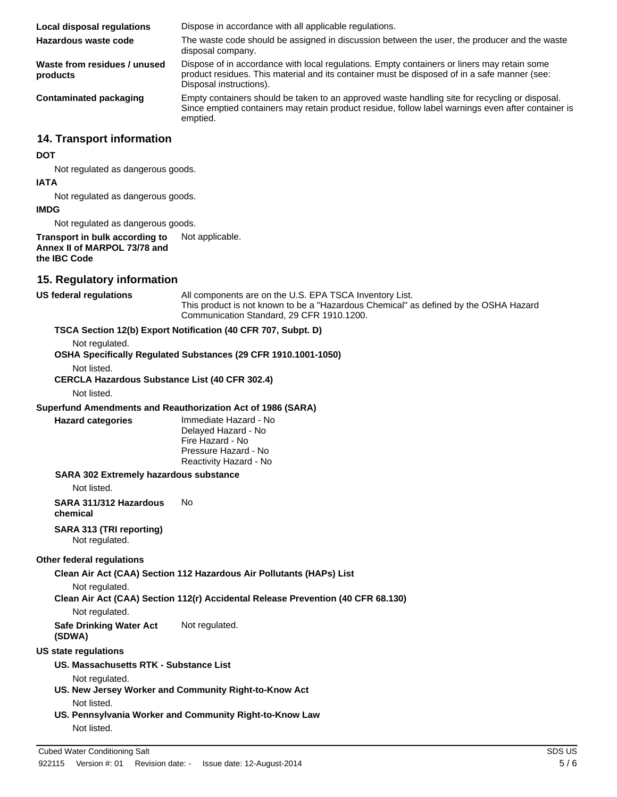| <b>Local disposal regulations</b>        | Dispose in accordance with all applicable regulations.                                                                                                                                                                 |
|------------------------------------------|------------------------------------------------------------------------------------------------------------------------------------------------------------------------------------------------------------------------|
| Hazardous waste code                     | The waste code should be assigned in discussion between the user, the producer and the waste<br>disposal company.                                                                                                      |
| Waste from residues / unused<br>products | Dispose of in accordance with local regulations. Empty containers or liners may retain some<br>product residues. This material and its container must be disposed of in a safe manner (see:<br>Disposal instructions). |
| Contaminated packaging                   | Empty containers should be taken to an approved waste handling site for recycling or disposal.<br>Since emptied containers may retain product residue, follow label warnings even after container is<br>emptied.       |

## **14. Transport information**

#### **DOT**

Not regulated as dangerous goods.

#### **IATA**

Not regulated as dangerous goods.

#### **IMDG**

Not regulated as dangerous goods.

## **Transport in bulk according to** Not applicable. **Annex II of MARPOL 73/78 and the IBC Code**

## **15. Regulatory information**

**US federal regulations** All components are on the U.S. EPA TSCA Inventory List. This product is not known to be a "Hazardous Chemical" as defined by the OSHA Hazard Communication Standard, 29 CFR 1910.1200.

## **TSCA Section 12(b) Export Notification (40 CFR 707, Subpt. D)**

Not regulated.

**OSHA Specifically Regulated Substances (29 CFR 1910.1001-1050)**

Not listed.

**CERCLA Hazardous Substance List (40 CFR 302.4)**

Not listed.

#### **Superfund Amendments and Reauthorization Act of 1986 (SARA)**

**Hazard categories** Immediate Hazard - No Delayed Hazard - No Fire Hazard - No Pressure Hazard - No Reactivity Hazard - No

#### **SARA 302 Extremely hazardous substance**

Not listed.

**SARA 311/312 Hazardous chemical** No

### **SARA 313 (TRI reporting)**

Not regulated.

#### **Other federal regulations**

**Clean Air Act (CAA) Section 112 Hazardous Air Pollutants (HAPs) List**

Not regulated.

**Clean Air Act (CAA) Section 112(r) Accidental Release Prevention (40 CFR 68.130)**

Not regulated.

**Safe Drinking Water Act (SDWA)** Not regulated.

#### **US state regulations**

**US. Massachusetts RTK - Substance List**

Not regulated.

- **US. New Jersey Worker and Community Right-to-Know Act** Not listed.
- **US. Pennsylvania Worker and Community Right-to-Know Law** Not listed.